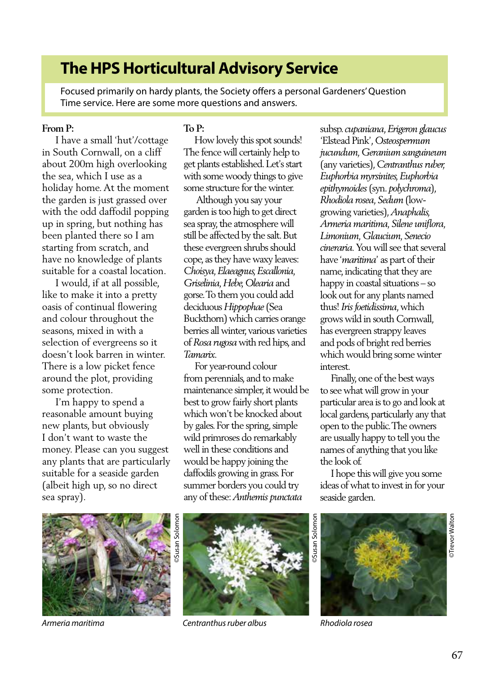# **The HPS Horticultural Advisory Service**

Focused primarily on hardy plants, the Society offers a personal Gardeners' Question Time service. Here are some more questions and answers.

#### **From P:**

 I have a small 'hut'/cottage in South Cornwall, on a cliff about 200m high overlooking the sea, which I use as a holiday home. At the moment the garden is just grassed over with the odd daffodil popping up in spring, but nothing has been planted there so I am starting from scratch, and have no knowledge of plants suitable for a coastal location.

 I would, if at all possible, like to make it into a pretty oasis of continual flowering and colour throughout the seasons, mixed in with a selection of evergreens so it doesn't look barren in winter. There is a low picket fence around the plot, providing some protection.

 I'm happy to spend a reasonable amount buying new plants, but obviously I don't want to waste the money. Please can you suggest any plants that are particularly suitable for a seaside garden (albeit high up, so no direct sea spray).

### **To P:**

 How lovely this spot sounds! The fence will certainly help to get plants established. Let's start with some woody things to give some structure for the winter.

 Although you say your garden is too high to get direct sea spray, the atmosphere will still be affected by the salt. But these evergreen shrubs should cope, as they have waxy leaves: *Choisya, Elaeagnus, Escallonia, Griselinia, Hebe, Olearia* and gorse. To them you could add deciduous *Hippophae* (Sea Buckthorn) which carries orange berries all winter, various varieties of *Rosa rugosa* with red hips, and *Tamarix.*

 For year-round colour from perennials, and to make maintenance simpler, it would be best to grow fairly short plants which won't be knocked about by gales. For the spring, simple wild primroses do remarkably well in these conditions and would be happy joining the daffodils growing in grass. For summer borders you could try any of these: *Anthemis punctata*

subsp. *cupaniana*, *Erigeron glaucus* 'Elstead Pink', *Osteospermum jucundum, Geranium sanguineum* (any varieties), *Centranthus ruber, Euphorbia myrsinites, Euphorbia epithymoides* (syn. *polychroma*), *Rhodiola rosea, Sedum* (lowgrowing varieties), *Anaphalis, Armeria maritima, Silene uniflora, Limonium, Glaucium, Senecio cineraria.* You will see that several have '*maritima*' as part of their name, indicating that they are happy in coastal situations – so look out for any plants named thus! *Iris foetidissima*, which grows wild in south Cornwall, has evergreen strappy leaves and pods of bright red berries which would bring some winter interest.

 Finally, one of the best ways to see what will grow in your particular area is to go and look at local gardens, particularly any that open to the public. The owners are usually happy to tell you the names of anything that you like the look of.

 I hope this will give you some ideas of what to invest in for your seaside garden.